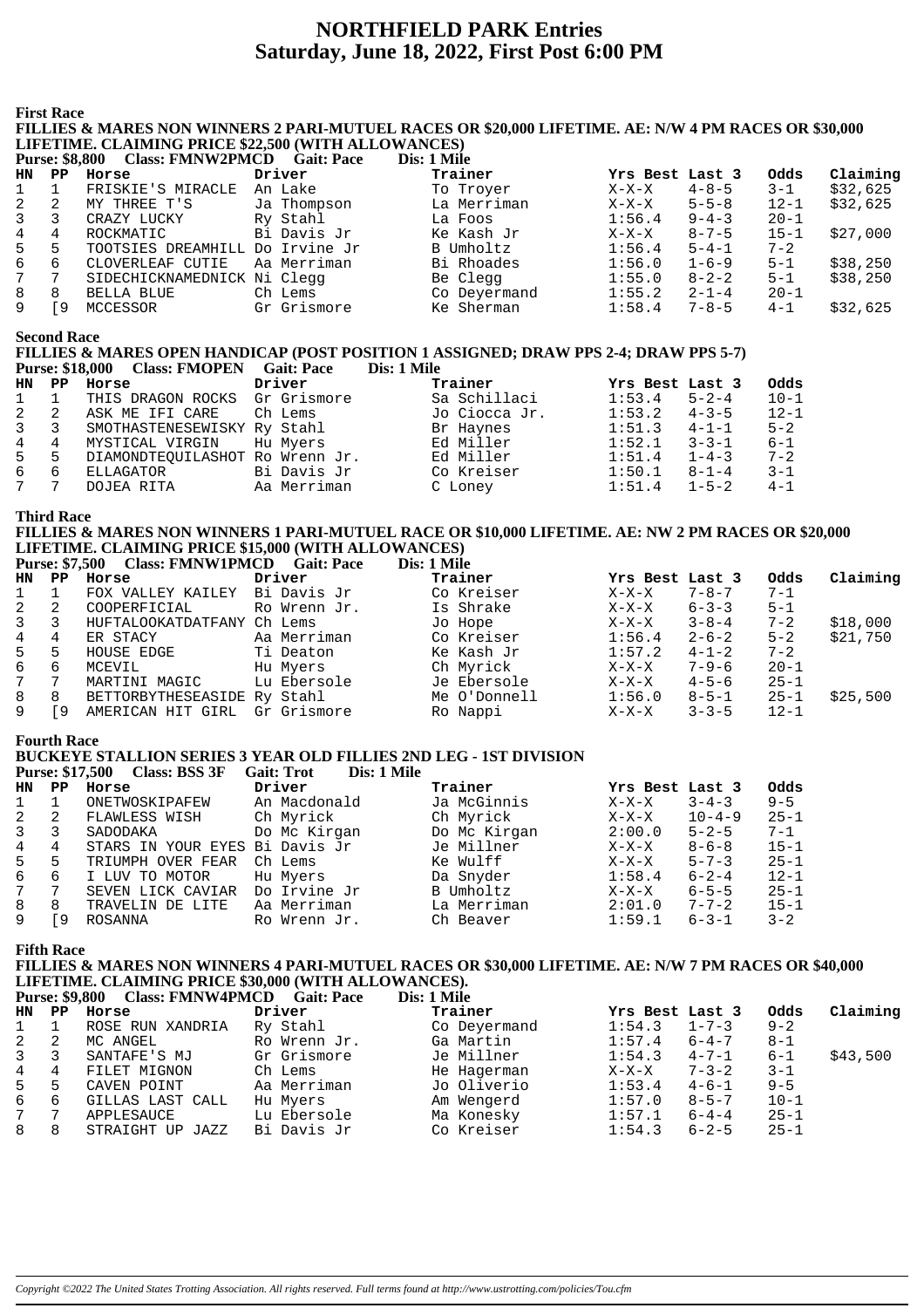# **NORTHFIELD PARK Entries** Saturday, June 18, 2022, First Post 6:00 PM

**First Race** 

## FILLIES & MARES NON WINNERS 2 PARI-MUTUEL RACES OR \$20,000 LIFETIME. AE: N/W 4 PM RACES OR \$30,000 LIFETIME. CLAIMING PRICE \$22,500 (WITH ALLOWANCES)

|    |     | - CIASS: FININ WZPINICD         | Gait: Pace  | DIS: 1 MIIE  |                 |             |          |          |
|----|-----|---------------------------------|-------------|--------------|-----------------|-------------|----------|----------|
| HN | PP. | Horse                           | Driver      | Trainer      | Yrs Best Last 3 |             | Odds     | Claiming |
|    |     | FRISKIE'S MIRACLE               | An Lake     | To Troyer    | $X-X-X$         | $4 - 8 - 5$ | $3 - 1$  | \$32,625 |
| 2  |     | MY THREE T'S                    | Ja Thompson | La Merriman  | $X-X-X$         | $5 - 5 - 8$ | $12 - 1$ | \$32,625 |
| 3  |     | CRAZY LUCKY                     | Ry Stahl    | La Foos      | 1:56.4          | $9 - 4 - 3$ | $20 - 1$ |          |
| 4  | 4   | ROCKMATIC                       | Bi Davis Jr | Ke Kash Jr   | $X-X-X$         | $8 - 7 - 5$ | $15 - 1$ | \$27,000 |
| 5  | 5   | TOOTSIES DREAMHILL Do Irvine Jr |             | B Umholtz    | 1:56.4          | $5 - 4 - 1$ | $7 - 2$  |          |
| 6  | 6   | CLOVERLEAF CUTIE                | Aa Merriman | Bi Rhoades   | 1:56.0          | $1 - 6 - 9$ | $5 - 1$  | \$38,250 |
| 7  |     | SIDECHICKNAMEDNICK Ni Clegg     |             | Be Clegg     | 1:55.0          | $8 - 2 - 2$ | $5 - 1$  | \$38,250 |
| 8  | 8   | BELLA BLUE                      | Ch Lems     | Co Deyermand | 1:55.2          | $2 - 1 - 4$ | $20 - 1$ |          |
| 9  | -9  | MCCESSOR                        | Gr Grismore | Ke Sherman   | 1:58.4          | $7 - 8 - 5$ | $4 - 1$  | \$32,625 |

**Second Race** 

#### FILLIES & MARES OPEN HANDICAP (POST POSITION 1 ASSIGNED: DRAW PPS 2-4: DRAW PPS 5-7)  $P_{\text{H}}$ <sub>24</sub>  $\frac{1}{2}$  18 000 Class: EMOPEN Cait: Pace  $\overline{Disc 1}$  Mile

|  | PUISE: \$10,000 URISS: PIVIOPEIN GAIL: PACE |        | - DIS: I VIIIe |
|--|---------------------------------------------|--------|----------------|
|  | HN PP Horse                                 | Driver | Trainer        |
|  | $- - - - - - - - - - - - - - - - - -$       |        | - - - -        |

| HN  | $\mathbf{PP}$ | Horse                           | Driver      | Trainer       | Yrs Best Last 3 |             | Odds     |
|-----|---------------|---------------------------------|-------------|---------------|-----------------|-------------|----------|
| 1   |               | THIS DRAGON ROCKS Gr Grismore   |             | Sa Schillaci  | 1:53.4          | $5 - 2 - 4$ | $10 - 1$ |
| 2   |               | ASK ME IFI CARE                 | Ch Lems     | Jo Ciocca Jr. | 1:53.2          | $4 - 3 - 5$ | $12 - 1$ |
| 3 3 |               | SMOTHASTENESEWISKY Ry Stahl     |             | Br Haynes     | 1:51.3          | $4 - 1 - 1$ | $5 - 2$  |
| 4   | 4             | MYSTICAL VIRGIN                 | Hu Myers    | Ed Miller     | 1:52.1          | $3 - 3 - 1$ | $6 - 1$  |
| 5   | 5             | DIAMONDTEOUILASHOT Ro Wrenn Jr. |             | Ed Miller     | 1:51.4          | $1 - 4 - 3$ | $7 - 2$  |
| რ — | -6            | ELLAGATOR                       | Bi Davis Jr | Co Kreiser    | 1:50.1          | $8 - 1 - 4$ | $3 - 1$  |
|     |               | DOJEA RITA                      | Aa Merriman | C Loney       | 1:51.4          | $1 - 5 - 2$ | $4 - 1$  |

**Third Race** 

#### FILLIES & MARES NON WINNERS 1 PARI-MUTUEL RACE OR \$10,000 LIFETIME. AE: NW 2 PM RACES OR \$20,000 LIFETIME. CLAIMING PRICE \$15,000 (WITH ALLOWANCES) Purse: \$7.500 Class: FMNW1PMCD Gait: Pace Dis: 1 Mile

|                |             | $\blacksquare$ and $\blacksquare$ . The $\blacksquare$ and $\blacksquare$ . The set of $\blacksquare$ . The set of $\blacksquare$ |              | $\sim$ 100 $\sim$ 100 $\sim$ |                 |             |          |          |
|----------------|-------------|-----------------------------------------------------------------------------------------------------------------------------------|--------------|------------------------------|-----------------|-------------|----------|----------|
| HN             | $_{\rm PP}$ | Horse                                                                                                                             | Driver       | Trainer                      | Yrs Best Last 3 |             | Odds     | Claiming |
|                |             | FOX VALLEY KAILEY                                                                                                                 | Bi Davis Jr  | Co Kreiser                   | $X-X-X$         | $7 - 8 - 7$ | $7 - 1$  |          |
| 2              |             | COOPERFICIAL                                                                                                                      | Ro Wrenn Jr. | Is Shrake                    | X-X-X           | $6 - 3 - 3$ | $5 - 1$  |          |
| $\mathbf{3}$   |             | HUFTALOOKATDATFANY Ch Lems                                                                                                        |              | Jo Hope                      | $X-X-X$         | $3 - 8 - 4$ | $7 - 2$  | \$18,000 |
| $\overline{4}$ | 4           | ER STACY                                                                                                                          | Aa Merriman  | Co Kreiser                   | 1:56.4          | $2 - 6 - 2$ | $5 - 2$  | \$21,750 |
| 5              | 5           | HOUSE EDGE                                                                                                                        | Ti Deaton    | Ke Kash Jr                   | 1:57.2          | $4 - 1 - 2$ | $7 - 2$  |          |
| 6              | 6           | MCEVIL                                                                                                                            | Hu Myers     | Ch Myrick                    | $X-X-X$         | $7 - 9 - 6$ | $20 - 1$ |          |
| 7              |             | MARTINI MAGIC                                                                                                                     | Lu Ebersole  | Je Ebersole                  | X-X-X           | $4 - 5 - 6$ | $25 - 1$ |          |
| 8              | 8           | BETTORBYTHESEASIDE Ry Stahl                                                                                                       |              | Me O'Donnell                 | 1:56.0          | $8 - 5 - 1$ | $25 - 1$ | \$25,500 |
| 9              | ſ9.         | AMERICAN HIT GIRL                                                                                                                 | Gr Grismore  | Ro Nappi                     | $X-X-X$         | $3 - 3 - 5$ | $12 - 1$ |          |

#### **Fourth Race**

### **BUCKEYE STALLION SERIES 3 YEAR OLD FILLIES 2ND LEG - 1ST DIVISION**

|                |    | <b>Purse: \$17,500 Class: BSS 3F</b> | Gait: Trot<br>Dis: 1 Mile |              |                 |              |          |
|----------------|----|--------------------------------------|---------------------------|--------------|-----------------|--------------|----------|
| HN             | PP | Horse                                | Driver                    | Trainer      | Yrs Best Last 3 |              | Odds     |
| 1              |    | ONETWOSKIPAFEW                       | An Macdonald              | Ja McGinnis  | $X-X-X$         | $3 - 4 - 3$  | $9 - 5$  |
| 2              | 2  | FLAWLESS WISH                        | Ch Myrick                 | Ch Myrick    | $X-X-X$         | $10 - 4 - 9$ | $25 - 1$ |
| $\overline{3}$ |    | SADODAKA                             | Do Mc Kirgan              | Do Mc Kirgan | 2:00.0          | $5 - 2 - 5$  | $7 - 1$  |
| 4              | 4  | STARS IN YOUR EYES                   | Bi Davis Jr               | Je Millner   | $X-X-X$         | $8 - 6 - 8$  | $15 - 1$ |
| 5              | 5. | TRIUMPH OVER FEAR                    | Ch Lems                   | Ke Wulff     | $X-X-X$         | $5 - 7 - 3$  | $25 - 1$ |
| 6              | 6  | I LUV TO MOTOR                       | Hu Myers                  | Da Snyder    | 1:58.4          | $6 - 2 - 4$  | $12 - 1$ |
| 7              |    | SEVEN LICK CAVIAR                    | Do Irvine Jr              | B Umholtz    | $X-X-X$         | $6 - 5 - 5$  | $25 - 1$ |
| 8              | 8  | TRAVELIN DE LITE                     | Aa Merriman               | La Merriman  | 2:01.0          | $7 - 7 - 2$  | $15 - 1$ |
| 9              | ۰9 | ROSANNA                              | Ro Wrenn Jr.              | Ch Beaver    | 1:59.1          | $6 - 3 - 1$  | $3 - 2$  |

#### **Fifth Race**

FILLIES & MARES NON WINNERS 4 PARI-MUTUEL RACES OR \$30,000 LIFETIME. AE: N/W 7 PM RACES OR \$40,000 LIFETIME. CLAIMING PRICE \$30,000 (WITH ALLOWANCES).

|              | <b>Purse: \$9,800</b> | <b>Class: FMNW4PMCD</b> | <b>Gait: Pace</b> | Dis: 1 Mile  |                       |          |          |
|--------------|-----------------------|-------------------------|-------------------|--------------|-----------------------|----------|----------|
| HN PP        |                       | Horse                   | Driver            | Trainer      | Yrs Best Last 3       | Odds     | Claiming |
| 1            |                       | ROSE RUN XANDRIA        | Ry Stahl          | Co Deyermand | 1:54.3<br>$1 - 7 - 3$ | $9 - 2$  |          |
| $\mathbf{2}$ | 2                     | MC ANGEL                | Ro Wrenn Jr.      | Ga Martin    | 1:57.4<br>$6 - 4 - 7$ | $8 - 1$  |          |
| $3^{\circ}$  | 3                     | SANTAFE'S MJ            | Gr Grismore       | Je Millner   | 1:54.3<br>$4 - 7 - 1$ | $6 - 1$  | \$43,500 |
| 4            | 4                     | FILET MIGNON            | Ch Lems           | He Hagerman  | $7 - 3 - 2$<br>X-X-X  | $3 - 1$  |          |
| $5 -$        | 5                     | CAVEN POINT             | Aa Merriman       | Jo Oliverio  | $4 - 6 - 1$<br>1:53.4 | $9 - 5$  |          |
| 6            | 6                     | GILLAS LAST CALL        | Hu Myers          | Am Wengerd   | 1:57.0<br>$8 - 5 - 7$ | $10 - 1$ |          |
| 7            |                       | APPLESAUCE              | Lu Ebersole       | Ma Konesky   | 1:57.1<br>$6 - 4 - 4$ | $25 - 1$ |          |
| 8            | 8                     | STRAIGHT UP<br>JAZZ     | Bi Davis Jr       | Co Kreiser   | 1:54.3<br>$6 - 2 - 5$ | $25 - 1$ |          |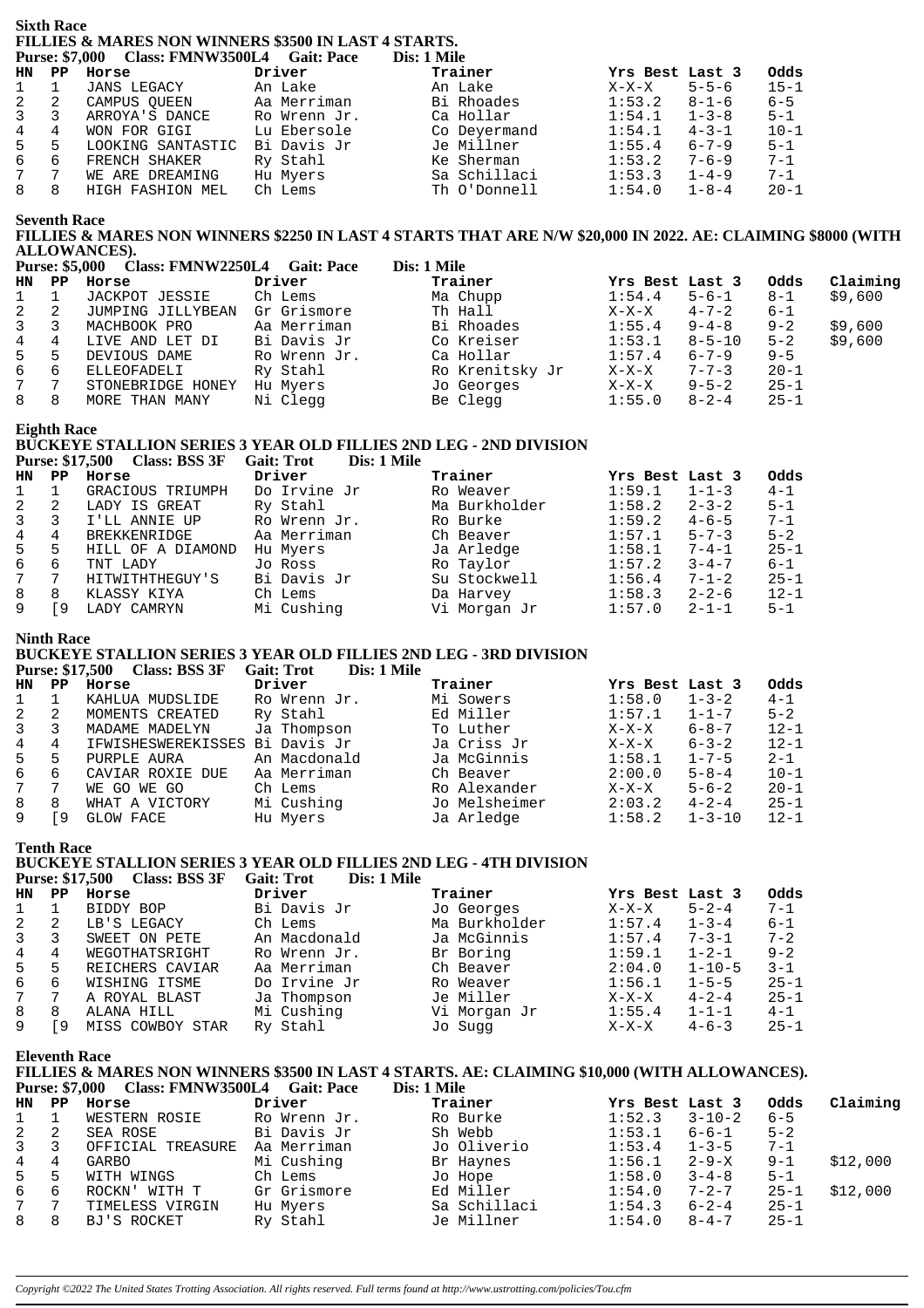#### **Sixth Race** FILLIES & MARES NON WINNERS \$3500 IN LAST 4 STARTS. Purse: \$7,000 Class: FMNW3500L4 Gait: Pace  $\mathbf{D}_{\text{tot}}$  1 Mile

|                  |       | <b>FUISE:</b> 57,000 Class: FININ W2200L4 Gall: Face |              | DIS, I VILLE |                        |          |
|------------------|-------|------------------------------------------------------|--------------|--------------|------------------------|----------|
|                  | HN PP | Horse                                                | Driver       | Trainer      | Yrs Best Last 3        | Odds     |
| $1 \quad 1$      |       | JANS LEGACY                                          | An Lake      | An Lake      | $5 - 5 - 6$<br>$X-X-X$ | $15 - 1$ |
| 2                | 2     | CAMPUS OUEEN                                         | Aa Merriman  | Bi Rhoades   | 1:53.2<br>$8 - 1 - 6$  | $6 - 5$  |
| $3 \overline{3}$ |       | ARROYA'S DANCE                                       | Ro Wrenn Jr. | Ca Hollar    | 1:54.1<br>$1 - 3 - 8$  | $5 - 1$  |
| $4\overline{ }$  | 4     | WON FOR GIGI                                         | Lu Ebersole  | Co Deyermand | $4 - 3 - 1$<br>1:54.1  | $10 - 1$ |
| 5                | -5    | LOOKING SANTASTIC                                    | Bi Davis Jr  | Je Millner   | 1:55.4<br>$6 - 7 - 9$  | $5 - 1$  |
| 6                | - 6   | FRENCH SHAKER                                        | Ry Stahl     | Ke Sherman   | $7 - 6 - 9$<br>1:53.2  | $7 - 1$  |
| 7                | 7     | WE ARE DREAMING                                      | Hu Myers     | Sa Schillaci | $1 - 4 - 9$<br>1:53.3  | $7 - 1$  |
| 8                | - 8   | HIGH FASHION MEL                                     | Ch Lems      | Th O'Donnell | $1 - 8 - 4$<br>1:54.0  | $20 - 1$ |

**Seventh Race** 

FILLIES & MARES NON WINNERS \$2250 IN LAST 4 STARTS THAT ARE N/W \$20,000 IN 2022. AE: CLAIMING \$8000 (WITH ALLOWANCES).  $\frac{1}{2}$  $\mathbf{R}^*$  and  $\mathbf{R}^*$ 

| <b>Purse: \$5,000</b> |    | Class: FMNW2250L4 | Gait: Pace   | Dis: 1 Mile     |                 |              |          |          |
|-----------------------|----|-------------------|--------------|-----------------|-----------------|--------------|----------|----------|
| HN                    | PP | Horse             | Driver       | Trainer         | Yrs Best Last 3 |              | Odds     | Claiming |
| $\mathbf{1}$          |    | JACKPOT JESSIE    | Ch Lems      | Ma Chupp        | 1:54.4          | $5 - 6 - 1$  | $8 - 1$  | \$9,600  |
| 2                     | -2 | JUMPING JILLYBEAN | Gr Grismore  | Th Hall         | $X-X-X$         | $4 - 7 - 2$  | $6 - 1$  |          |
| 3                     |    | MACHBOOK PRO      | Aa Merriman  | Bi Rhoades      | 1:55.4          | $9 - 4 - 8$  | $9 - 2$  | \$9,600  |
| 4                     | 4  | LIVE AND LET DI   | Bi Davis Jr  | Co Kreiser      | 1:53.1          | $8 - 5 - 10$ | $5 - 2$  | \$9,600  |
| 5                     | 5  | DEVIOUS DAME      | Ro Wrenn Jr. | Ca Hollar       | 1:57.4          | $6 - 7 - 9$  | $9 - 5$  |          |
| 6                     | -6 | ELLEOFADELI       | Ry Stahl     | Ro Krenitsky Jr | $X-X-X$         | $7 - 7 - 3$  | $20 - 1$ |          |
| 7 <sup>7</sup>        | 7  | STONEBRIDGE HONEY | Hu Myers     | Jo Georges      | X-X-X           | $9 - 5 - 2$  | $25 - 1$ |          |
| 8                     | 8  | MORE THAN MANY    | Ni Clegg     | Be Clegg        | 1:55.0          | $8 - 2 - 4$  | $25 - 1$ |          |

**Eighth Race** 

### BUCKEYE STALLION SERIES 3 YEAR OLD FILLIES 2ND LEG - 2ND DIVISION

Purse: \$17,500 Class: BSS 3F Gait: Trot Dis: 1 Mile

| <b>HN</b>    | PP  | Horse             | Driver       | Trainer       | Yrs Best Last 3       | Odds     |
|--------------|-----|-------------------|--------------|---------------|-----------------------|----------|
| $\mathbf{1}$ |     | GRACIOUS TRIUMPH  | Do Irvine Jr | Ro Weaver     | 1:59.1<br>$1 - 1 - 3$ | $4 - 1$  |
| 2            |     | LADY IS GREAT     | Ry Stahl     | Ma Burkholder | 1:58.2<br>$2 - 3 - 2$ | $5 - 1$  |
| 3            |     | I'LL ANNIE UP     | Ro Wrenn Jr. | Ro Burke      | $4 - 6 - 5$<br>1:59.2 | $7 - 1$  |
| 4            |     | BREKKENRIDGE      | Aa Merriman  | Ch Beaver     | $5 - 7 - 3$<br>1:57.1 | $5 - 2$  |
| 5            | 5   | HILL OF A DIAMOND | Hu Myers     | Ja Arledge    | $7 - 4 - 1$<br>1:58.1 | $25 - 1$ |
| 6            | 6   | TNT LADY          | Jo Ross      | Ro Taylor     | $3 - 4 - 7$<br>1:57.2 | $6 - 1$  |
| 7            |     | HITWITHTHEGUY'S   | Bi Davis Jr  | Su Stockwell  | 1:56.4<br>$7 - 1 - 2$ | $25 - 1$ |
| 8            | 8   | KLASSY KIYA       | Ch Lems      | Da Harvey     | $2 - 2 - 6$<br>1:58.3 | $12 - 1$ |
|              | . 9 | LADY CAMRYN       | Mi Cushing   | Vi Morgan Jr  | 1:57.0<br>$2 - 1 - 1$ | $5 - 1$  |

#### **Ninth Race**

### BUCKEYE STALLION SERIES 3 YEAR OLD FILLIES 2ND LEG - 3RD DIVISION

Purse: \$17,500 Class: BSS 3F Gait: Trot Dis: 1 Mile

| <b>HN</b>      | PP. | Horse                          | Driver       | Trainer       | Yrs Best Last 3        | Odds     |
|----------------|-----|--------------------------------|--------------|---------------|------------------------|----------|
| 1              |     | KAHLUA MUDSLIDE                | Ro Wrenn Jr. | Mi Sowers     | 1:58.0<br>$1 - 3 - 2$  | $4 - 1$  |
| 2              |     | MOMENTS CREATED                | Ry Stahl     | Ed Miller     | 1:57.1<br>$1 - 1 - 7$  | $5 - 2$  |
| $\overline{3}$ |     | MADAME MADELYN                 | Ja Thompson  | To Luther     | $6 - 8 - 7$<br>$X-X-X$ | $12 - 1$ |
| 4              | 4   | IFWISHESWEREKISSES Bi Davis Jr |              | Ja Criss Jr   | $6 - 3 - 2$<br>$X-X-X$ | $12 - 1$ |
| 5              | 5   | PURPLE AURA                    | An Macdonald | Ja McGinnis   | 1:58.1<br>$1 - 7 - 5$  | $2 - 1$  |
| 6              | 6   | CAVIAR ROXIE DUE               | Aa Merriman  | Ch Beaver     | $5 - 8 - 4$<br>2:00.0  | $10 - 1$ |
| 7              |     | WE GO WE GO                    | Ch Lems      | Ro Alexander  | $5 - 6 - 2$<br>$X-X-X$ | $20 - 1$ |
| 8              | 8   | WHAT A VICTORY                 | Mi Cushing   | Jo Melsheimer | $4 - 2 - 4$<br>2:03.2  | $25 - 1$ |
|                | ۰9  | GLOW FACE                      | Hu Myers     | Ja Arledge    | 1:58.2<br>$1 - 3 - 10$ | $12 - 1$ |

**Tenth Race** 

#### **BUCKEYE STALLION SERIES 3 YEAR OLD FILLIES 2ND LEG - 4TH DIVISION**

Purse: \$17,500 Class: BSS 3F Gait: Trot Dis: 1 Mile

| HN           | PP  | Horse            | Driver       | Trainer       | Yrs Best Last 3 |              | Odds     |
|--------------|-----|------------------|--------------|---------------|-----------------|--------------|----------|
|              |     | BIDDY BOP        | Bi Davis Jr  | Jo Georges    | $X-X-X$         | $5 - 2 - 4$  | $7 - 1$  |
|              | 2   | LB'S LEGACY      | Ch Lems      | Ma Burkholder | 1:57.4          | $1 - 3 - 4$  | $6 - 1$  |
| $\mathbf{3}$ | 3   | SWEET ON PETE    | An Macdonald | Ja McGinnis   | 1:57.4          | $7 - 3 - 1$  | $7 - 2$  |
| 4            |     | WEGOTHATSRIGHT   | Ro Wrenn Jr. | Br Boring     | 1:59.1          | $1 - 2 - 1$  | $9 - 2$  |
| 5            | 5   | REICHERS CAVIAR  | Aa Merriman  | Ch Beaver     | 2:04.0          | $1 - 10 - 5$ | $3 - 1$  |
| რ —          | 6   | WISHING ITSME    | Do Irvine Jr | Ro Weaver     | 1:56.1          | $1 - 5 - 5$  | $25 - 1$ |
| $7^{\circ}$  |     | A ROYAL BLAST    | Ja Thompson  | Je Miller     | $X-X-X$         | $4 - 2 - 4$  | $25 - 1$ |
| 8            | 8   | ALANA HILL       | Mi Cushing   | Vi Morgan Jr  | 1:55.4          | $1 - 1 - 1$  | $4 - 1$  |
|              | و آ | MISS COWBOY STAR | Ry Stahl     | Jo Sugg       | X-X-X           | $4 - 6 - 3$  | $25 - 1$ |

**Eleventh Race** 

#### FILLIES & MARES NON WINNERS \$3500 IN LAST 4 STARTS. AE: CLAIMING \$10,000 (WITH ALLOWANCES). Purse: \$7,000 Class: FMNW3500L4 Gait: Pace Dis: 1 Mile  $\sim$

|                |    | HN PP HOTSE       | Driver       | irainer      |        | ITS BEST LAST 3 | vaas     | Claiming |
|----------------|----|-------------------|--------------|--------------|--------|-----------------|----------|----------|
| $1 \quad$      |    | WESTERN ROSIE     | Ro Wrenn Jr. | Ro Burke     | 1:52.3 | 3-10-2          | $6 - 5$  |          |
| $2 \quad 2$    |    | SEA ROSE          | Bi Davis Jr  | Sh Webb      | 1:53.1 | 6-6-1           | $5 - 2$  |          |
| $\mathbf{3}$   | -3 | OFFICIAL TREASURE | Aa Merriman  | Jo Oliverio  | 1:53.4 | $1 - 3 - 5$     | $7 - 1$  |          |
| $\overline{4}$ | 4  | GARBO             | Mi Cushing   | Br Haynes    | 1:56.1 | 2-9-X           | $9 - 1$  | \$12,000 |
| 5 5            |    | WITH WINGS        | Ch Lems      | Jo Hope      | 1:58.0 | $3 - 4 - 8$     | $5 - 1$  |          |
| 6              | -6 | ROCKN' WITH T     | Gr Grismore  | Ed Miller    | 1:54.0 | $7 - 2 - 7$     | $25 - 1$ | \$12,000 |
| 7              |    | TIMELESS VIRGIN   | Hu Myers     | Sa Schillaci | 1:54.3 | $6 - 2 - 4$     | $25 - 1$ |          |
| 88             |    | BJ'S ROCKET       | Ry Stahl     | Je Millner   | 1:54.0 | $8 - 4 - 7$     | $25 - 1$ |          |